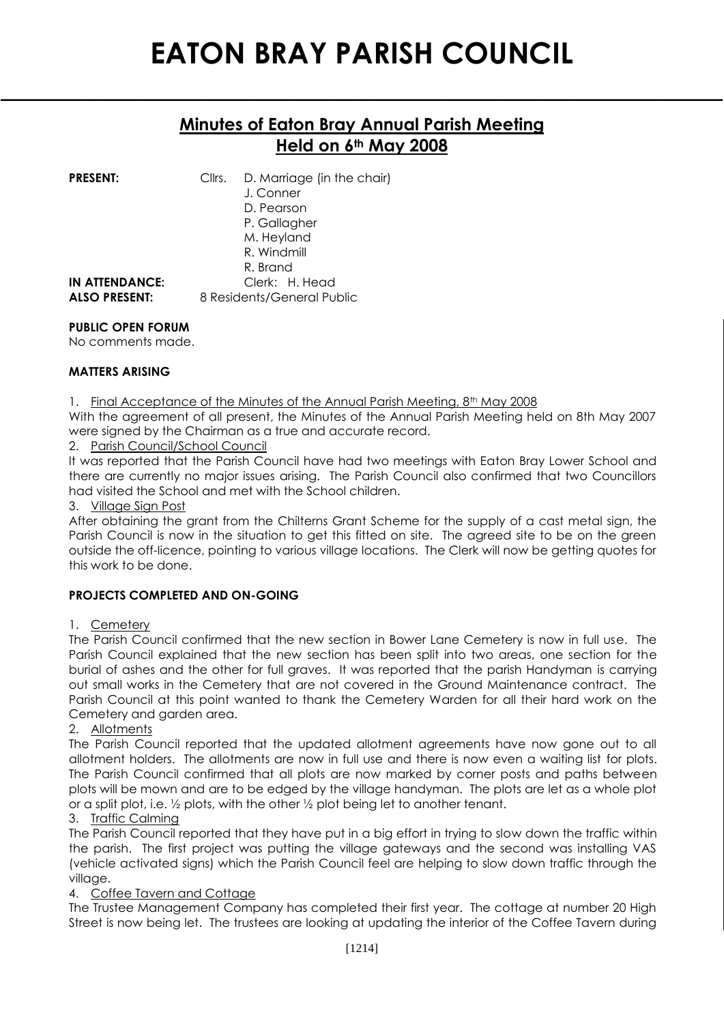## **Minutes of Eaton Bray Annual Parish Meeting Held on 6th May 2008**

**\_\_\_\_\_\_\_\_\_\_\_\_\_\_\_\_\_\_\_\_\_\_\_\_\_\_\_\_\_\_\_\_\_\_\_\_\_\_\_\_\_\_\_\_\_\_\_\_\_\_\_\_\_\_\_\_\_\_\_\_\_\_\_\_\_\_\_\_\_\_\_\_\_\_\_\_\_\_\_\_\_\_\_\_\_\_\_\_\_\_\_\_\_\_\_\_\_\_\_\_\_\_\_\_\_\_\_\_**

| <b>PRESENT:</b>       | Cllrs. | D. Marriage (in the chair)<br>J. Conner<br>D. Pearson<br>P. Gallagher<br>M. Heyland<br>R. Windmill<br>R. Brand |
|-----------------------|--------|----------------------------------------------------------------------------------------------------------------|
| <b>IN ATTENDANCE:</b> |        | Clerk: H. Head                                                                                                 |
| <b>ALSO PRESENT:</b>  |        | 8 Residents/General Public                                                                                     |

### **PUBLIC OPEN FORUM**

No comments made.

### **MATTERS ARISING**

1. Final Acceptance of the Minutes of the Annual Parish Meeting, 8<sup>th</sup> May 2008

With the agreement of all present, the Minutes of the Annual Parish Meeting held on 8th May 2007 were signed by the Chairman as a true and accurate record.

2. Parish Council/School Council

It was reported that the Parish Council have had two meetings with Eaton Bray Lower School and there are currently no major issues arising. The Parish Council also confirmed that two Councillors had visited the School and met with the School children.

#### 3. Village Sign Post

After obtaining the grant from the Chilterns Grant Scheme for the supply of a cast metal sign, the Parish Council is now in the situation to get this fitted on site. The agreed site to be on the green outside the off-licence, pointing to various village locations. The Clerk will now be getting quotes for this work to be done.

### **PROJECTS COMPLETED AND ON-GOING**

### 1. Cemetery

The Parish Council confirmed that the new section in Bower Lane Cemetery is now in full use. The Parish Council explained that the new section has been split into two areas, one section for the burial of ashes and the other for full graves. It was reported that the parish Handyman is carrying out small works in the Cemetery that are not covered in the Ground Maintenance contract. The Parish Council at this point wanted to thank the Cemetery Warden for all their hard work on the Cemetery and garden area.

### 2. Allotments

The Parish Council reported that the updated allotment agreements have now gone out to all allotment holders. The allotments are now in full use and there is now even a waiting list for plots. The Parish Council confirmed that all plots are now marked by corner posts and paths between plots will be mown and are to be edged by the village handyman. The plots are let as a whole plot or a split plot, i.e. ½ plots, with the other ½ plot being let to another tenant.

### 3. Traffic Calming

The Parish Council reported that they have put in a big effort in trying to slow down the traffic within the parish. The first project was putting the village gateways and the second was installing VAS (vehicle activated signs) which the Parish Council feel are helping to slow down traffic through the village.

### 4. Coffee Tavern and Cottage

The Trustee Management Company has completed their first year. The cottage at number 20 High Street is now being let. The trustees are looking at updating the interior of the Coffee Tavern during